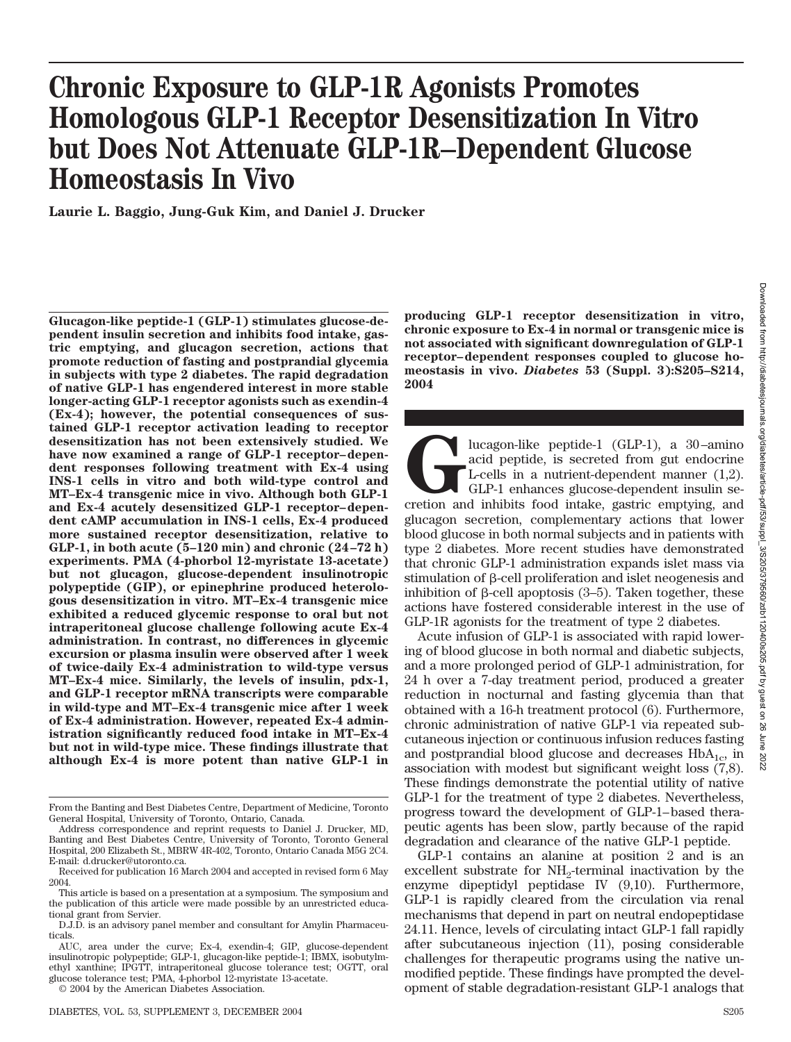# **Chronic Exposure to GLP-1R Agonists Promotes Homologous GLP-1 Receptor Desensitization In Vitro but Does Not Attenuate GLP-1R–Dependent Glucose Homeostasis In Vivo**

**Laurie L. Baggio, Jung-Guk Kim, and Daniel J. Drucker**

**Glucagon-like peptide-1 (GLP-1) stimulates glucose-dependent insulin secretion and inhibits food intake, gastric emptying, and glucagon secretion, actions that promote reduction of fasting and postprandial glycemia in subjects with type 2 diabetes. The rapid degradation of native GLP-1 has engendered interest in more stable longer-acting GLP-1 receptor agonists such as exendin-4 (Ex-4); however, the potential consequences of sustained GLP-1 receptor activation leading to receptor desensitization has not been extensively studied. We have now examined a range of GLP-1 receptor–dependent responses following treatment with Ex-4 using INS-1 cells in vitro and both wild-type control and MT–Ex-4 transgenic mice in vivo. Although both GLP-1 and Ex-4 acutely desensitized GLP-1 receptor–dependent cAMP accumulation in INS-1 cells, Ex-4 produced more sustained receptor desensitization, relative to GLP-1, in both acute (5–120 min) and chronic (24–72 h) experiments. PMA (4-phorbol 12-myristate 13-acetate) but not glucagon, glucose-dependent insulinotropic polypeptide (GIP), or epinephrine produced heterologous desensitization in vitro. MT–Ex-4 transgenic mice exhibited a reduced glycemic response to oral but not intraperitoneal glucose challenge following acute Ex-4 administration. In contrast, no differences in glycemic excursion or plasma insulin were observed after 1 week of twice-daily Ex-4 administration to wild-type versus MT–Ex-4 mice. Similarly, the levels of insulin, pdx-1, and GLP-1 receptor mRNA transcripts were comparable in wild-type and MT–Ex-4 transgenic mice after 1 week of Ex-4 administration. However, repeated Ex-4 administration significantly reduced food intake in MT–Ex-4 but not in wild-type mice. These findings illustrate that although Ex-4 is more potent than native GLP-1 in**

**producing GLP-1 receptor desensitization in vitro, chronic exposure to Ex-4 in normal or transgenic mice is not associated with significant downregulation of GLP-1 receptor–dependent responses coupled to glucose homeostasis in vivo.** *Diabetes* **53 (Suppl. 3):S205–S214, 2004**

lucagon-like peptide-1 (GLP-1), a 30–amino<br>acid peptide, is secreted from gut endocrine<br>L-cells in a nutrient-dependent manner (1,2).<br>GLP-1 enhances glucose-dependent insulin se-<br>cretion and inhibits food intake, gastric e acid peptide, is secreted from gut endocrine L-cells in a nutrient-dependent manner (1,2). GLP-1 enhances glucose-dependent insulin seglucagon secretion, complementary actions that lower blood glucose in both normal subjects and in patients with type 2 diabetes. More recent studies have demonstrated that chronic GLP-1 administration expands islet mass via stimulation of  $\beta$ -cell proliferation and islet neogenesis and inhibition of  $\beta$ -cell apoptosis (3–5). Taken together, these actions have fostered considerable interest in the use of GLP-1R agonists for the treatment of type 2 diabetes.

Acute infusion of GLP-1 is associated with rapid lowering of blood glucose in both normal and diabetic subjects, and a more prolonged period of GLP-1 administration, for 24 h over a 7-day treatment period, produced a greater reduction in nocturnal and fasting glycemia than that obtained with a 16-h treatment protocol (6). Furthermore, chronic administration of native GLP-1 via repeated subcutaneous injection or continuous infusion reduces fasting and postprandial blood glucose and decreases  $HbA_{1c}$ , in association with modest but significant weight loss (7,8). These findings demonstrate the potential utility of native GLP-1 for the treatment of type 2 diabetes. Nevertheless, progress toward the development of GLP-1–based therapeutic agents has been slow, partly because of the rapid degradation and clearance of the native GLP-1 peptide.

GLP-1 contains an alanine at position 2 and is an excellent substrate for NH<sub>2</sub>-terminal inactivation by the enzyme dipeptidyl peptidase IV (9,10). Furthermore, GLP-1 is rapidly cleared from the circulation via renal mechanisms that depend in part on neutral endopeptidase 24.11. Hence, levels of circulating intact GLP-1 fall rapidly after subcutaneous injection (11), posing considerable challenges for therapeutic programs using the native unmodified peptide. These findings have prompted the development of stable degradation-resistant GLP-1 analogs that

From the Banting and Best Diabetes Centre, Department of Medicine, Toronto General Hospital, University of Toronto, Ontario, Canada.

Address correspondence and reprint requests to Daniel J. Drucker, MD, Banting and Best Diabetes Centre, University of Toronto, Toronto General Hospital, 200 Elizabeth St., MBRW 4R-402, Toronto, Ontario Canada M5G 2C4. E-mail: d.drucker@utoronto.ca.

Received for publication 16 March 2004 and accepted in revised form 6 May 2004.

This article is based on a presentation at a symposium. The symposium and the publication of this article were made possible by an unrestricted educational grant from Servier.

D.J.D. is an advisory panel member and consultant for Amylin Pharmaceuticals.

AUC, area under the curve; Ex-4, exendin-4; GIP, glucose-dependent insulinotropic polypeptide; GLP-1, glucagon-like peptide-1; IBMX, isobutylmethyl xanthine; IPGTT, intraperitoneal glucose tolerance test; OGTT, oral glucose tolerance test; PMA, 4-phorbol 12-myristate 13-acetate.

<sup>© 2004</sup> by the American Diabetes Association.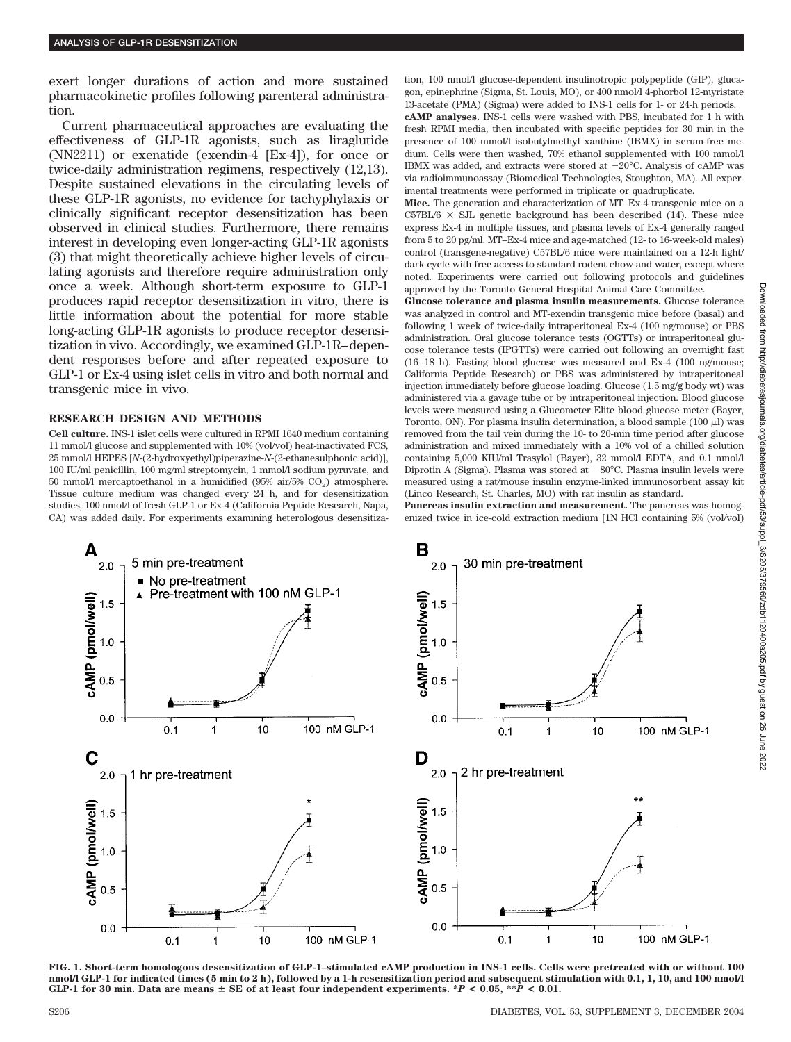exert longer durations of action and more sustained pharmacokinetic profiles following parenteral administration.

Current pharmaceutical approaches are evaluating the effectiveness of GLP-1R agonists, such as liraglutide (NN2211) or exenatide (exendin-4 [Ex-4]), for once or twice-daily administration regimens, respectively (12,13). Despite sustained elevations in the circulating levels of these GLP-1R agonists, no evidence for tachyphylaxis or clinically significant receptor desensitization has been observed in clinical studies. Furthermore, there remains interest in developing even longer-acting GLP-1R agonists (3) that might theoretically achieve higher levels of circulating agonists and therefore require administration only once a week. Although short-term exposure to GLP-1 produces rapid receptor desensitization in vitro, there is little information about the potential for more stable long-acting GLP-1R agonists to produce receptor desensitization in vivo. Accordingly, we examined GLP-1R–dependent responses before and after repeated exposure to GLP-1 or Ex-4 using islet cells in vitro and both normal and transgenic mice in vivo.

#### **RESEARCH DESIGN AND METHODS**

**Cell culture.** INS-1 islet cells were cultured in RPMI 1640 medium containing 11 mmol/l glucose and supplemented with 10% (vol/vol) heat-inactivated FCS, 25 mmol/l HEPES [*N*-(2-hydroxyethyl)piperazine-*N*-(2-ethanesulphonic acid)], 100 IU/ml penicillin, 100 mg/ml streptomycin, 1 mmol/l sodium pyruvate, and 50 mmol/l mercaptoethanol in a humidified (95% air/5%  $CO<sub>2</sub>$ ) atmosphere. Tissue culture medium was changed every 24 h, and for desensitization studies, 100 nmol/l of fresh GLP-1 or Ex-4 (California Peptide Research, Napa, CA) was added daily. For experiments examining heterologous desensitization, 100 nmol/l glucose-dependent insulinotropic polypeptide (GIP), glucagon, epinephrine (Sigma, St. Louis, MO), or 400 nmol/l 4-phorbol 12-myristate 13-acetate (PMA) (Sigma) were added to INS-1 cells for 1- or 24-h periods. **cAMP analyses.** INS-1 cells were washed with PBS, incubated for 1 h with fresh RPMI media, then incubated with specific peptides for 30 min in the presence of 100 mmol/l isobutylmethyl xanthine (IBMX) in serum-free medium. Cells were then washed, 70% ethanol supplemented with 100 mmol/l IBMX was added, and extracts were stored at  $-20^{\circ}$ C. Analysis of cAMP was via radioimmunoassay (Biomedical Technologies, Stoughton, MA). All experimental treatments were performed in triplicate or quadruplicate.

**Mice.** The generation and characterization of MT–Ex-4 transgenic mice on a C57BL/6  $\times$  SJL genetic background has been described (14). These mice express Ex-4 in multiple tissues, and plasma levels of Ex-4 generally ranged from 5 to 20 pg/ml. MT–Ex-4 mice and age-matched (12- to 16-week-old males) control (transgene-negative) C57BL/6 mice were maintained on a 12-h light/ dark cycle with free access to standard rodent chow and water, except where noted. Experiments were carried out following protocols and guidelines approved by the Toronto General Hospital Animal Care Committee.

**Glucose tolerance and plasma insulin measurements.** Glucose tolerance was analyzed in control and MT-exendin transgenic mice before (basal) and following 1 week of twice-daily intraperitoneal Ex-4 (100 ng/mouse) or PBS administration. Oral glucose tolerance tests (OGTTs) or intraperitoneal glucose tolerance tests (IPGTTs) were carried out following an overnight fast (16–18 h). Fasting blood glucose was measured and Ex-4 (100 ng/mouse; California Peptide Research) or PBS was administered by intraperitoneal injection immediately before glucose loading. Glucose (1.5 mg/g body wt) was administered via a gavage tube or by intraperitoneal injection. Blood glucose levels were measured using a Glucometer Elite blood glucose meter (Bayer, Toronto, ON). For plasma insulin determination, a blood sample (100  $\mu$ ) was removed from the tail vein during the 10- to 20-min time period after glucose administration and mixed immediately with a 10% vol of a chilled solution containing 5,000 KIU/ml Trasylol (Bayer), 32 mmol/l EDTA, and 0.1 nmol/l Diprotin A (Sigma). Plasma was stored at -80°C. Plasma insulin levels were measured using a rat/mouse insulin enzyme-linked immunosorbent assay kit (Linco Research, St. Charles, MO) with rat insulin as standard.

**Pancreas insulin extraction and measurement.** The pancreas was homogenized twice in ice-cold extraction medium [1N HCl containing 5% (vol/vol)



**FIG. 1. Short-term homologous desensitization of GLP-1–stimulated cAMP production in INS-1 cells. Cells were pretreated with or without 100 nmol/l GLP-1 for indicated times (5 min to 2 h), followed by a 1-h resensitization period and subsequent stimulation with 0.1, 1, 10, and 100 nmol/l GLP-1** for 30 min. Data are means  $\pm$  SE of at least four independent experiments.  $*P < 0.05$ ,  $*P < 0.01$ .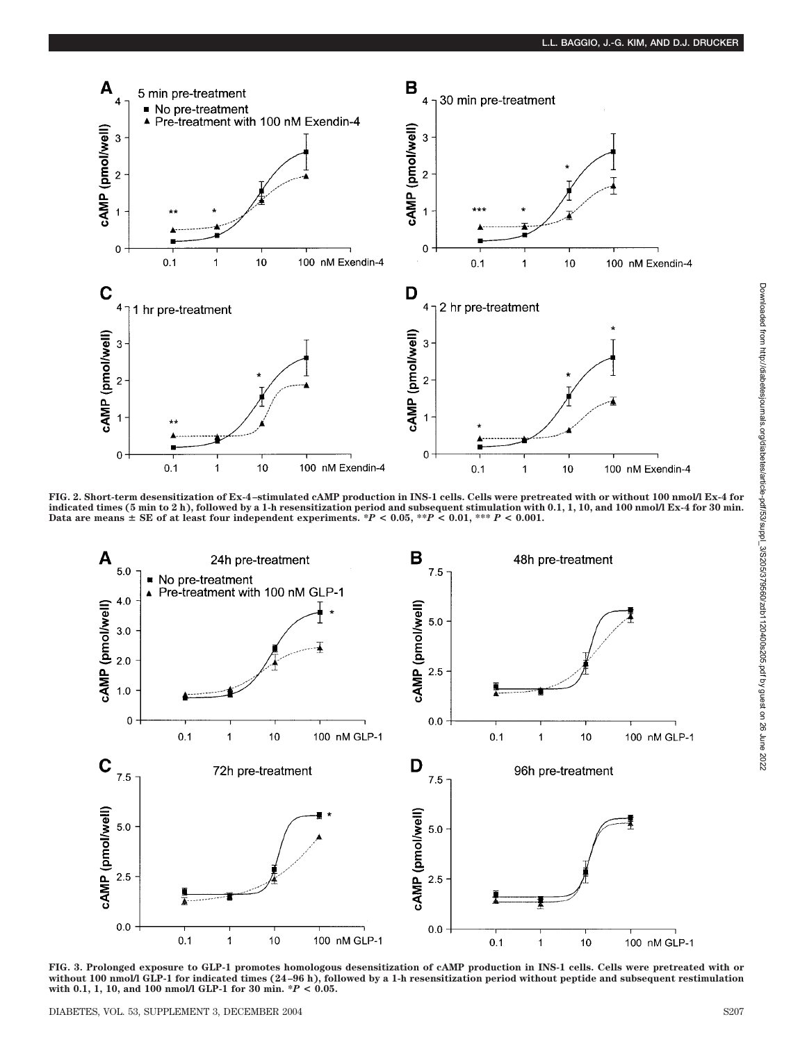

**FIG. 2. Short-term desensitization of Ex-4–stimulated cAMP production in INS-1 cells. Cells were pretreated with or without 100 nmol/l Ex-4 for** indicated times (5 min to 2 h), followed by a 1-h resensitization period and subsequent stimulation with 0.1, 1, 10, and 100 nmol/l Ex-4 for 30 min.<br>Data are means ± SE of at least four independent experiments. \*P < 0.05,



**FIG. 3. Prolonged exposure to GLP-1 promotes homologous desensitization of cAMP production in INS-1 cells. Cells were pretreated with or without 100 nmol/l GLP-1 for indicated times (24–96 h), followed by a 1-h resensitization period without peptide and subsequent restimulation with 0.1, 1, 10, and 100 nmol/l GLP-1 for 30 min. \****P* **< 0.05.**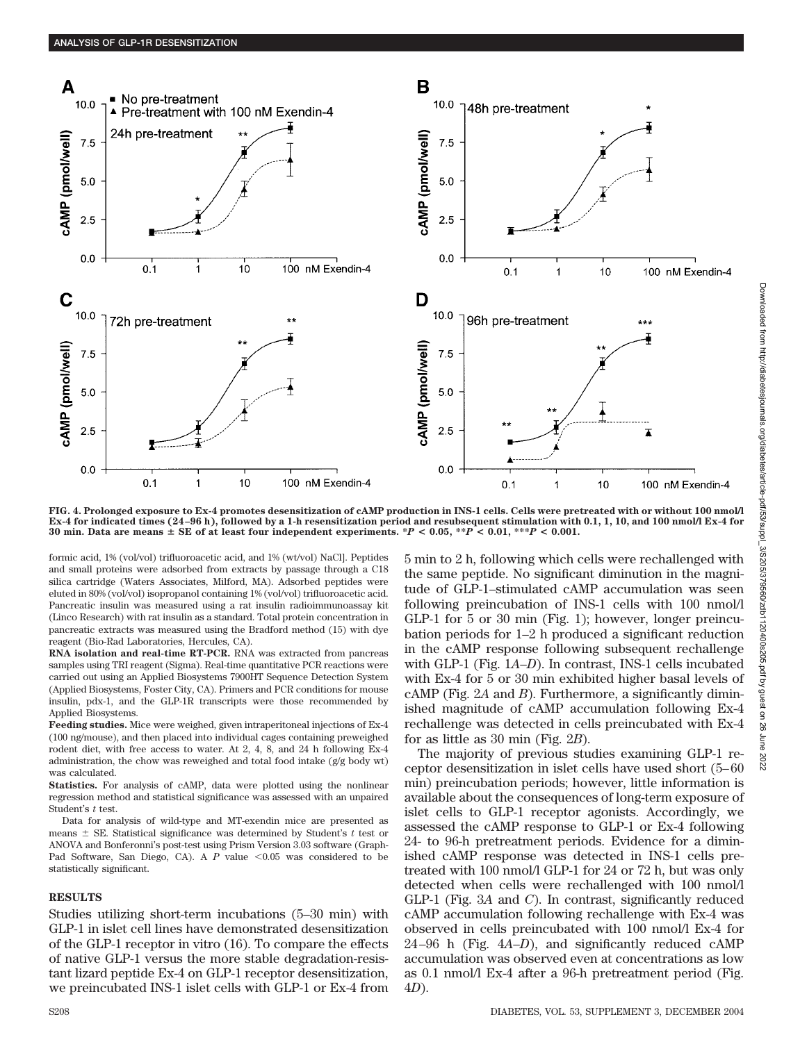

**FIG. 4. Prolonged exposure to Ex-4 promotes desensitization of cAMP production in INS-1 cells. Cells were pretreated with or without 100 nmol/l Ex-4 for indicated times (24–96 h), followed by a 1-h resensitization period and resubsequent stimulation with 0.1, 1, 10, and 100 nmol/l Ex-4 for 30 min. Data are means**  $\pm$  **SE** of at least four independent experiments. \**P* < 0.05, \*\**P* < 0.01, \*\*\**P* < 0.001.

formic acid, 1% (vol/vol) trifluoroacetic acid, and 1% (wt/vol) NaCl]. Peptides and small proteins were adsorbed from extracts by passage through a C18 silica cartridge (Waters Associates, Milford, MA). Adsorbed peptides were eluted in 80% (vol/vol) isopropanol containing 1% (vol/vol) trifluoroacetic acid. Pancreatic insulin was measured using a rat insulin radioimmunoassay kit (Linco Research) with rat insulin as a standard. Total protein concentration in pancreatic extracts was measured using the Bradford method (15) with dye reagent (Bio-Rad Laboratories, Hercules, CA).

**RNA isolation and real-time RT-PCR.** RNA was extracted from pancreas samples using TRI reagent (Sigma). Real-time quantitative PCR reactions were carried out using an Applied Biosystems 7900HT Sequence Detection System (Applied Biosystems, Foster City, CA). Primers and PCR conditions for mouse insulin, pdx-1, and the GLP-1R transcripts were those recommended by Applied Biosystems.

**Feeding studies.** Mice were weighed, given intraperitoneal injections of Ex-4 (100 ng/mouse), and then placed into individual cages containing preweighed rodent diet, with free access to water. At 2, 4, 8, and 24 h following Ex-4 administration, the chow was reweighed and total food intake (g/g body wt) was calculated.

**Statistics.** For analysis of cAMP, data were plotted using the nonlinear regression method and statistical significance was assessed with an unpaired Student's *t* test.

Data for analysis of wild-type and MT-exendin mice are presented as means  $\pm$  SE. Statistical significance was determined by Student's  $t$  test or ANOVA and Bonferonni's post-test using Prism Version 3.03 software (Graph-Pad Software, San Diego, CA). A  $P$  value  $\leq 0.05$  was considered to be statistically significant.

## **RESULTS**

Studies utilizing short-term incubations (5–30 min) with GLP-1 in islet cell lines have demonstrated desensitization of the GLP-1 receptor in vitro (16). To compare the effects of native GLP-1 versus the more stable degradation-resistant lizard peptide Ex-4 on GLP-1 receptor desensitization, we preincubated INS-1 islet cells with GLP-1 or Ex-4 from 5 min to 2 h, following which cells were rechallenged with the same peptide. No significant diminution in the magnitude of GLP-1–stimulated cAMP accumulation was seen following preincubation of INS-1 cells with 100 nmol/l GLP-1 for 5 or 30 min (Fig. 1); however, longer preincubation periods for 1–2 h produced a significant reduction in the cAMP response following subsequent rechallenge with GLP-1 (Fig. 1*A*–*D*). In contrast, INS-1 cells incubated with Ex-4 for 5 or 30 min exhibited higher basal levels of cAMP (Fig. 2*A* and *B*). Furthermore, a significantly diminished magnitude of cAMP accumulation following Ex-4 rechallenge was detected in cells preincubated with Ex-4 for as little as 30 min (Fig. 2*B*).

The majority of previous studies examining GLP-1 receptor desensitization in islet cells have used short (5–60 min) preincubation periods; however, little information is available about the consequences of long-term exposure of islet cells to GLP-1 receptor agonists. Accordingly, we assessed the cAMP response to GLP-1 or Ex-4 following 24- to 96-h pretreatment periods. Evidence for a diminished cAMP response was detected in INS-1 cells pretreated with 100 nmol/l GLP-1 for 24 or 72 h, but was only detected when cells were rechallenged with 100 nmol/l GLP-1 (Fig. 3*A* and *C*). In contrast, significantly reduced cAMP accumulation following rechallenge with Ex-4 was observed in cells preincubated with 100 nmol/l Ex-4 for 24–96 h (Fig. 4*A*–*D*), and significantly reduced cAMP accumulation was observed even at concentrations as low as 0.1 nmol/l Ex-4 after a 96-h pretreatment period (Fig. 4*D*).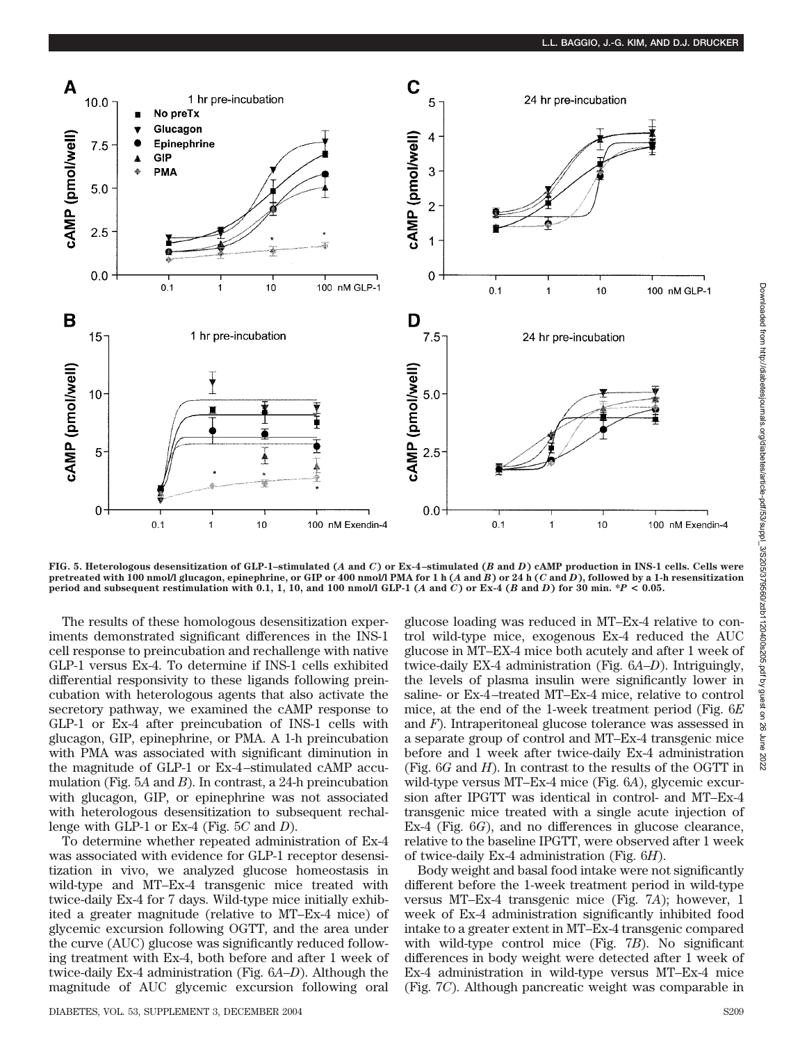

**FIG. 5. Heterologous desensitization of GLP-1–stimulated (***A* **and** *C***) or Ex-4–stimulated (***B* **and** *D***) cAMP production in INS-1 cells. Cells were pretreated with 100 nmol/l glucagon, epinephrine, or GIP or 400 nmol/l PMA for1h(***A* **and** *B***) or 24 h (***C* **and** *D***), followed by a 1-h resensitization period and subsequent restimulation with 0.1, 1, 10, and 100 nmol/l GLP-1 (***A* **and** *C***) or Ex-4 (***B* **and** *D***) for 30 min. \****P* **< 0.05.**

The results of these homologous desensitization experiments demonstrated significant differences in the INS-1 cell response to preincubation and rechallenge with native GLP-1 versus Ex-4. To determine if INS-1 cells exhibited differential responsivity to these ligands following preincubation with heterologous agents that also activate the secretory pathway, we examined the cAMP response to GLP-1 or Ex-4 after preincubation of INS-1 cells with glucagon, GIP, epinephrine, or PMA. A 1-h preincubation with PMA was associated with significant diminution in the magnitude of GLP-1 or Ex-4–stimulated cAMP accumulation (Fig. 5*A* and *B*). In contrast, a 24-h preincubation with glucagon, GIP, or epinephrine was not associated with heterologous desensitization to subsequent rechallenge with GLP-1 or Ex-4 (Fig. 5*C* and *D*).

To determine whether repeated administration of Ex-4 was associated with evidence for GLP-1 receptor desensitization in vivo, we analyzed glucose homeostasis in wild-type and MT–Ex-4 transgenic mice treated with twice-daily Ex-4 for 7 days. Wild-type mice initially exhibited a greater magnitude (relative to MT–Ex-4 mice) of glycemic excursion following OGTT, and the area under the curve (AUC) glucose was significantly reduced following treatment with Ex-4, both before and after 1 week of twice-daily Ex-4 administration (Fig. 6*A*–*D*). Although the magnitude of AUC glycemic excursion following oral

DIABETES, VOL. 53, SUPPLEMENT 3, DECEMBER 2004 S209

glucose loading was reduced in MT–Ex-4 relative to control wild-type mice, exogenous Ex-4 reduced the AUC glucose in MT–EX-4 mice both acutely and after 1 week of twice-daily EX-4 administration (Fig. 6*A*–*D*). Intriguingly, the levels of plasma insulin were significantly lower in saline- or Ex-4–treated MT–Ex-4 mice, relative to control mice, at the end of the 1-week treatment period (Fig. 6*E* and *F*). Intraperitoneal glucose tolerance was assessed in a separate group of control and MT–Ex-4 transgenic mice before and 1 week after twice-daily Ex-4 administration (Fig. 6*G* and *H*). In contrast to the results of the OGTT in wild-type versus MT–Ex-4 mice (Fig. 6*A*), glycemic excursion after IPGTT was identical in control- and MT–Ex-4 transgenic mice treated with a single acute injection of Ex-4 (Fig. 6*G*), and no differences in glucose clearance, relative to the baseline IPGTT, were observed after 1 week of twice-daily Ex-4 administration (Fig. 6*H*).

Body weight and basal food intake were not significantly different before the 1-week treatment period in wild-type versus MT–Ex-4 transgenic mice (Fig. 7*A*); however, 1 week of Ex-4 administration significantly inhibited food intake to a greater extent in MT–Ex-4 transgenic compared with wild-type control mice (Fig. 7*B*). No significant differences in body weight were detected after 1 week of Ex-4 administration in wild-type versus MT–Ex-4 mice (Fig. 7*C*). Although pancreatic weight was comparable in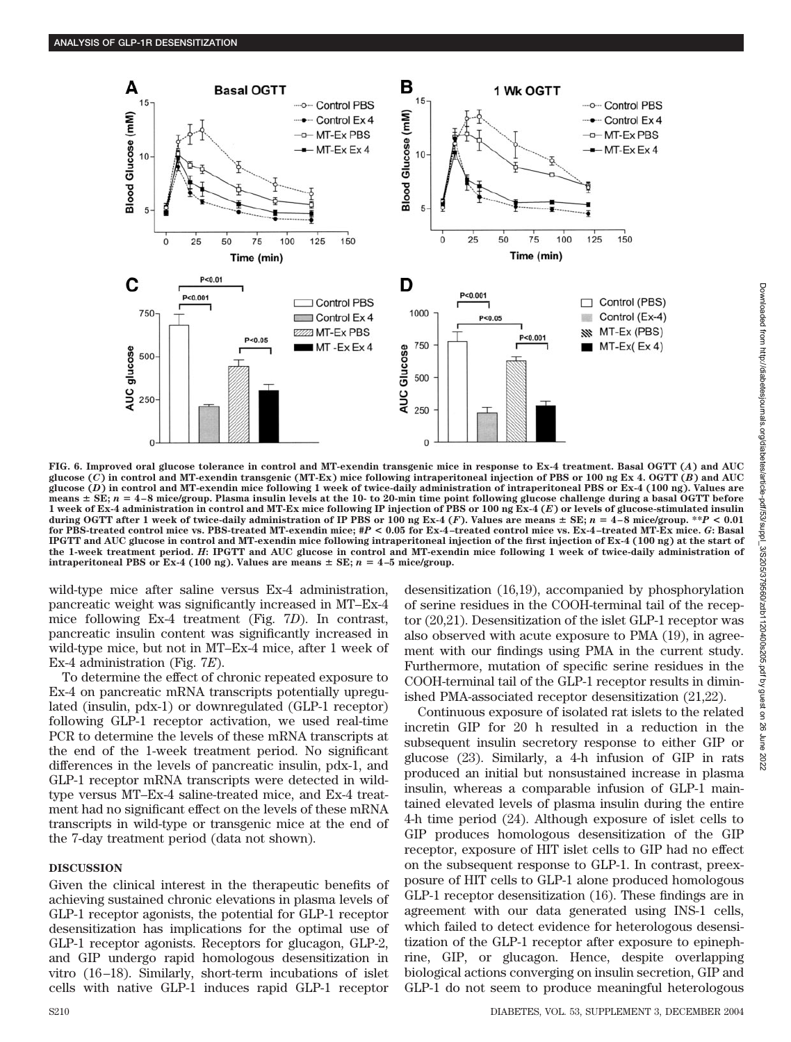

**FIG. 6. Improved oral glucose tolerance in control and MT-exendin transgenic mice in response to Ex-4 treatment. Basal OGTT (***A***) and AUC glucose (***C***) in control and MT-exendin transgenic (MT-Ex) mice following intraperitoneal injection of PBS or 100 ng Ex 4. OGTT (***B***) and AUC glucose (***D***) in control and MT-exendin mice following 1 week of twice-daily administration of intraperitoneal PBS or Ex-4 (100 ng). Values are means SE;** *n* - **4–8 mice/group. Plasma insulin levels at the 10- to 20-min time point following glucose challenge during a basal OGTT before 1 week of Ex-4 administration in control and MT-Ex mice following IP injection of PBS or 100 ng Ex-4 (***E***) or levels of glucose-stimulated insulin during OGTT after 1 week of twice-daily administration of IP PBS or 100 ng Ex-4 (***F***). Values are means SE;** *n* - **4–8 mice/group. \*\****P* **< 0.01 for PBS-treated control mice vs. PBS-treated MT-exendin mice; #***P* **< 0.05 for Ex-4–treated control mice vs. Ex-4–treated MT-Ex mice.** *G***: Basal IPGTT and AUC glucose in control and MT-exendin mice following intraperitoneal injection of the first injection of Ex-4 (100 ng) at the start of the 1-week treatment period.** *H***: IPGTT and AUC glucose in control and MT-exendin mice following 1 week of twice-daily administration of intraperitoneal PBS or Ex-4 (100 ng). Values are means**  $\pm$  **SE;**  $n = 4-5$  **mice/group.** 

wild-type mice after saline versus Ex-4 administration, pancreatic weight was significantly increased in MT–Ex-4 mice following Ex-4 treatment (Fig. 7*D*). In contrast, pancreatic insulin content was significantly increased in wild-type mice, but not in MT–Ex-4 mice, after 1 week of Ex-4 administration (Fig. 7*E*).

To determine the effect of chronic repeated exposure to Ex-4 on pancreatic mRNA transcripts potentially upregulated (insulin, pdx-1) or downregulated (GLP-1 receptor) following GLP-1 receptor activation, we used real-time PCR to determine the levels of these mRNA transcripts at the end of the 1-week treatment period. No significant differences in the levels of pancreatic insulin, pdx-1, and GLP-1 receptor mRNA transcripts were detected in wildtype versus MT–Ex-4 saline-treated mice, and Ex-4 treatment had no significant effect on the levels of these mRNA transcripts in wild-type or transgenic mice at the end of the 7-day treatment period (data not shown).

## **DISCUSSION**

Given the clinical interest in the therapeutic benefits of achieving sustained chronic elevations in plasma levels of GLP-1 receptor agonists, the potential for GLP-1 receptor desensitization has implications for the optimal use of GLP-1 receptor agonists. Receptors for glucagon, GLP-2, and GIP undergo rapid homologous desensitization in vitro (16–18). Similarly, short-term incubations of islet cells with native GLP-1 induces rapid GLP-1 receptor

desensitization (16,19), accompanied by phosphorylation of serine residues in the COOH-terminal tail of the receptor (20,21). Desensitization of the islet GLP-1 receptor was also observed with acute exposure to PMA (19), in agreement with our findings using PMA in the current study. Furthermore, mutation of specific serine residues in the COOH-terminal tail of the GLP-1 receptor results in diminished PMA-associated receptor desensitization (21,22).

Continuous exposure of isolated rat islets to the related incretin GIP for 20 h resulted in a reduction in the subsequent insulin secretory response to either GIP or glucose (23). Similarly, a 4-h infusion of GIP in rats produced an initial but nonsustained increase in plasma insulin, whereas a comparable infusion of GLP-1 maintained elevated levels of plasma insulin during the entire 4-h time period (24). Although exposure of islet cells to GIP produces homologous desensitization of the GIP receptor, exposure of HIT islet cells to GIP had no effect on the subsequent response to GLP-1. In contrast, preexposure of HIT cells to GLP-1 alone produced homologous GLP-1 receptor desensitization (16). These findings are in agreement with our data generated using INS-1 cells, which failed to detect evidence for heterologous desensitization of the GLP-1 receptor after exposure to epinephrine, GIP, or glucagon. Hence, despite overlapping biological actions converging on insulin secretion, GIP and GLP-1 do not seem to produce meaningful heterologous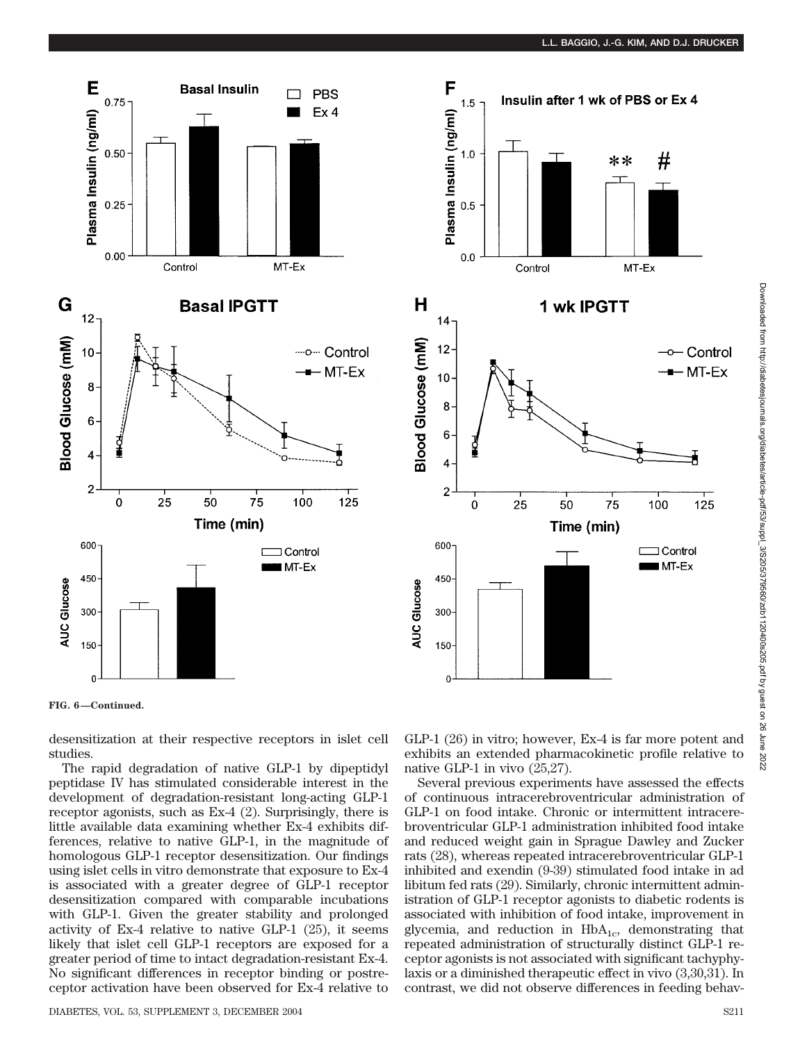





**FIG. 6—Continued.**

desensitization at their respective receptors in islet cell studies.

The rapid degradation of native GLP-1 by dipeptidyl peptidase IV has stimulated considerable interest in the development of degradation-resistant long-acting GLP-1 receptor agonists, such as Ex-4 (2). Surprisingly, there is little available data examining whether Ex-4 exhibits differences, relative to native GLP-1, in the magnitude of homologous GLP-1 receptor desensitization. Our findings using islet cells in vitro demonstrate that exposure to Ex-4 is associated with a greater degree of GLP-1 receptor desensitization compared with comparable incubations with GLP-1. Given the greater stability and prolonged activity of Ex-4 relative to native GLP-1 (25), it seems likely that islet cell GLP-1 receptors are exposed for a greater period of time to intact degradation-resistant Ex-4. No significant differences in receptor binding or postreceptor activation have been observed for Ex-4 relative to

GLP-1 (26) in vitro; however, Ex-4 is far more potent and exhibits an extended pharmacokinetic profile relative to native GLP-1 in vivo (25,27).

Several previous experiments have assessed the effects of continuous intracerebroventricular administration of GLP-1 on food intake. Chronic or intermittent intracerebroventricular GLP-1 administration inhibited food intake and reduced weight gain in Sprague Dawley and Zucker rats (28), whereas repeated intracerebroventricular GLP-1 inhibited and exendin (9-39) stimulated food intake in ad libitum fed rats (29). Similarly, chronic intermittent administration of GLP-1 receptor agonists to diabetic rodents is associated with inhibition of food intake, improvement in glycemia, and reduction in  $HbA_{1c}$ , demonstrating that repeated administration of structurally distinct GLP-1 receptor agonists is not associated with significant tachyphylaxis or a diminished therapeutic effect in vivo (3,30,31). In contrast, we did not observe differences in feeding behav-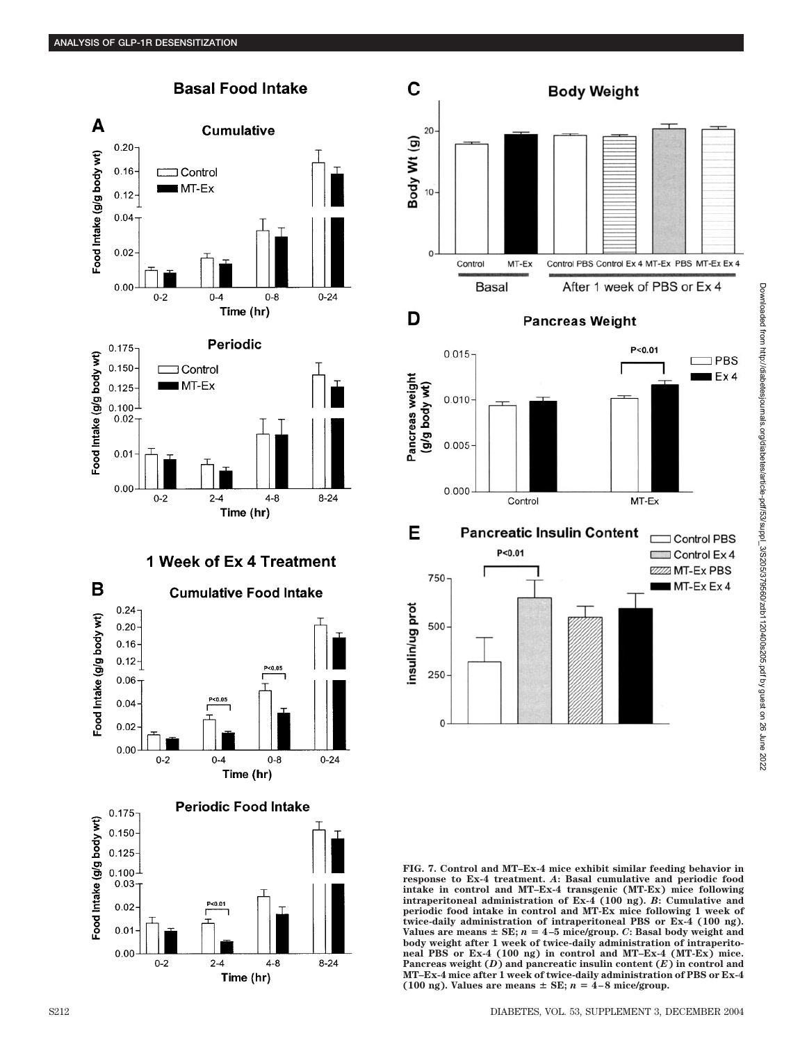





# 1 Week of Ex 4 Treatment







## **Pancreas Weight**

D





**FIG. 7. Control and MT–Ex-4 mice exhibit similar feeding behavior in response to Ex-4 treatment.** *A***: Basal cumulative and periodic food intake in control and MT–Ex-4 transgenic (MT-Ex) mice following intraperitoneal administration of Ex-4 (100 ng).** *B***: Cumulative and periodic food intake in control and MT-Ex mice following 1 week of twice-daily administration of intraperitoneal PBS or Ex-4 (100 ng).** Values are means  $\pm$  SE;  $n = 4-5$  mice/group. C: Basal body weight and **body weight after 1 week of twice-daily administration of intraperitoneal PBS or Ex-4 (100 ng) in control and MT–Ex-4 (MT-Ex) mice. Pancreas weight (***D***) and pancreatic insulin content (***E***) in control and MT–Ex-4 mice after 1 week of twice-daily administration of PBS or Ex-4** (100 ng). Values are means  $\pm$  SE;  $n = 4-8$  mice/group.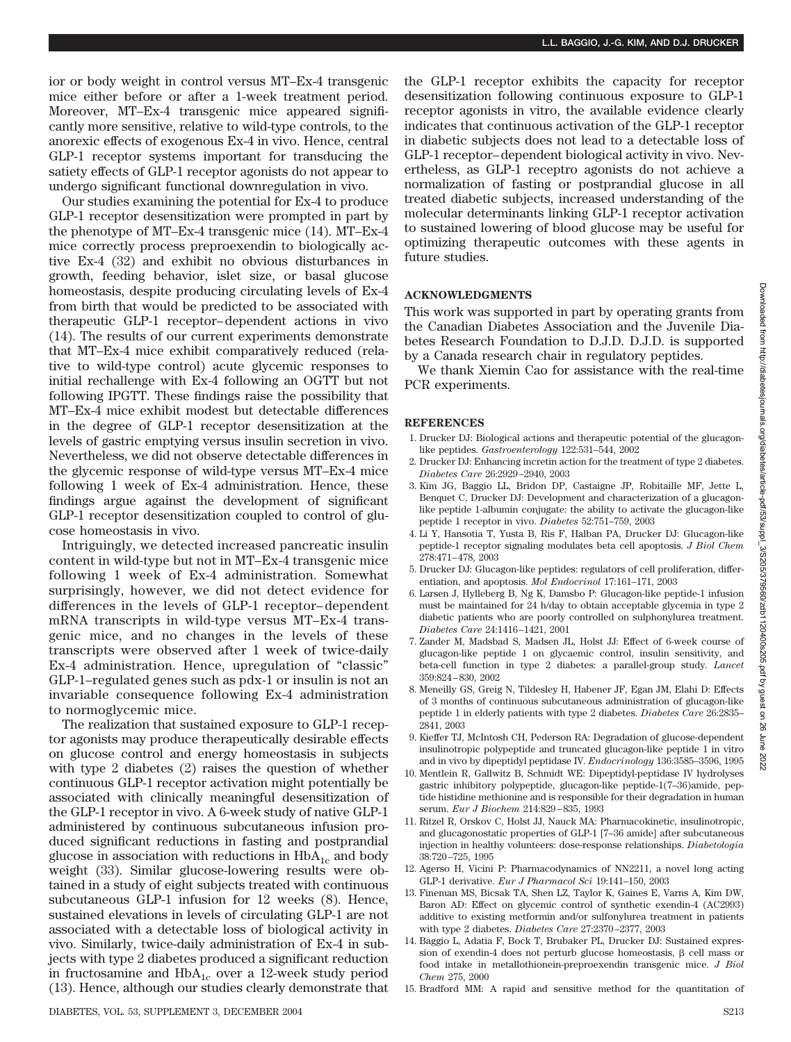ior or body weight in control versus MT–Ex-4 transgenic mice either before or after a 1-week treatment period. Moreover, MT–Ex-4 transgenic mice appeared significantly more sensitive, relative to wild-type controls, to the anorexic effects of exogenous Ex-4 in vivo. Hence, central GLP-1 receptor systems important for transducing the satiety effects of GLP-1 receptor agonists do not appear to undergo significant functional downregulation in vivo.

Our studies examining the potential for Ex-4 to produce GLP-1 receptor desensitization were prompted in part by the phenotype of MT–Ex-4 transgenic mice (14). MT–Ex-4 mice correctly process preproexendin to biologically active Ex-4 (32) and exhibit no obvious disturbances in growth, feeding behavior, islet size, or basal glucose homeostasis, despite producing circulating levels of Ex-4 from birth that would be predicted to be associated with therapeutic GLP-1 receptor–dependent actions in vivo (14). The results of our current experiments demonstrate that MT–Ex-4 mice exhibit comparatively reduced (relative to wild-type control) acute glycemic responses to initial rechallenge with Ex-4 following an OGTT but not following IPGTT. These findings raise the possibility that MT–Ex-4 mice exhibit modest but detectable differences in the degree of GLP-1 receptor desensitization at the levels of gastric emptying versus insulin secretion in vivo. Nevertheless, we did not observe detectable differences in the glycemic response of wild-type versus MT–Ex-4 mice following 1 week of Ex-4 administration. Hence, these findings argue against the development of significant GLP-1 receptor desensitization coupled to control of glucose homeostasis in vivo.

Intriguingly, we detected increased pancreatic insulin content in wild-type but not in MT–Ex-4 transgenic mice following 1 week of Ex-4 administration. Somewhat surprisingly, however, we did not detect evidence for differences in the levels of GLP-1 receptor– dependent mRNA transcripts in wild-type versus MT–Ex-4 transgenic mice, and no changes in the levels of these transcripts were observed after 1 week of twice-daily Ex-4 administration. Hence, upregulation of "classic" GLP-1–regulated genes such as pdx-1 or insulin is not an invariable consequence following Ex-4 administration to normoglycemic mice.

The realization that sustained exposure to GLP-1 receptor agonists may produce therapeutically desirable effects on glucose control and energy homeostasis in subjects with type 2 diabetes (2) raises the question of whether continuous GLP-1 receptor activation might potentially be associated with clinically meaningful desensitization of the GLP-1 receptor in vivo. A 6-week study of native GLP-1 administered by continuous subcutaneous infusion produced significant reductions in fasting and postprandial glucose in association with reductions in  $HbA_{1c}$  and body weight (33). Similar glucose-lowering results were obtained in a study of eight subjects treated with continuous subcutaneous GLP-1 infusion for 12 weeks (8). Hence, sustained elevations in levels of circulating GLP-1 are not associated with a detectable loss of biological activity in vivo. Similarly, twice-daily administration of Ex-4 in subjects with type 2 diabetes produced a significant reduction in fructosamine and  $HbA_{1c}$  over a 12-week study period (13). Hence, although our studies clearly demonstrate that

the GLP-1 receptor exhibits the capacity for receptor desensitization following continuous exposure to GLP-1 receptor agonists in vitro, the available evidence clearly indicates that continuous activation of the GLP-1 receptor in diabetic subjects does not lead to a detectable loss of GLP-1 receptor–dependent biological activity in vivo. Nevertheless, as GLP-1 receptro agonists do not achieve a normalization of fasting or postprandial glucose in all treated diabetic subjects, increased understanding of the molecular determinants linking GLP-1 receptor activation to sustained lowering of blood glucose may be useful for optimizing therapeutic outcomes with these agents in future studies.

### **ACKNOWLEDGMENTS**

This work was supported in part by operating grants from the Canadian Diabetes Association and the Juvenile Diabetes Research Foundation to D.J.D. D.J.D. is supported by a Canada research chair in regulatory peptides.

We thank Xiemin Cao for assistance with the real-time PCR experiments.

#### **REFERENCES**

- 1. Drucker DJ: Biological actions and therapeutic potential of the glucagonlike peptides. *Gastroenterology* 122:531–544, 2002
- 2. Drucker DJ: Enhancing incretin action for the treatment of type 2 diabetes. *Diabetes Care* 26:2929–2940, 2003
- 3. Kim JG, Baggio LL, Bridon DP, Castaigne JP, Robitaille MF, Jette L, Benquet C, Drucker DJ: Development and characterization of a glucagonlike peptide 1-albumin conjugate: the ability to activate the glucagon-like peptide 1 receptor in vivo. *Diabetes* 52:751–759, 2003
- 4. Li Y, Hansotia T, Yusta B, Ris F, Halban PA, Drucker DJ: Glucagon-like peptide-1 receptor signaling modulates beta cell apoptosis. *J Biol Chem* 278:471–478, 2003
- 5. Drucker DJ: Glucagon-like peptides: regulators of cell proliferation, differentiation, and apoptosis. *Mol Endocrinol* 17:161–171, 2003
- 6. Larsen J, Hylleberg B, Ng K, Damsbo P: Glucagon-like peptide-1 infusion must be maintained for 24 h/day to obtain acceptable glycemia in type 2 diabetic patients who are poorly controlled on sulphonylurea treatment. *Diabetes Care* 24:1416–1421, 2001
- 7. Zander M, Madsbad S, Madsen JL, Holst JJ: Effect of 6-week course of glucagon-like peptide 1 on glycaemic control, insulin sensitivity, and beta-cell function in type 2 diabetes: a parallel-group study. *Lancet* 359:824–830, 2002
- 8. Meneilly GS, Greig N, Tildesley H, Habener JF, Egan JM, Elahi D: Effects of 3 months of continuous subcutaneous administration of glucagon-like peptide 1 in elderly patients with type 2 diabetes. *Diabetes Care* 26:2835– 2841, 2003
- 9. Kieffer TJ, McIntosh CH, Pederson RA: Degradation of glucose-dependent insulinotropic polypeptide and truncated glucagon-like peptide 1 in vitro and in vivo by dipeptidyl peptidase IV. *Endocrinology* 136:3585–3596, 1995
- 10. Mentlein R, Gallwitz B, Schmidt WE: Dipeptidyl-peptidase IV hydrolyses gastric inhibitory polypeptide, glucagon-like peptide-1(7–36)amide, peptide histidine methionine and is responsible for their degradation in human serum. *Eur J Biochem* 214:829–835, 1993
- 11. Ritzel R, Orskov C, Holst JJ, Nauck MA: Pharmacokinetic, insulinotropic, and glucagonostatic properties of GLP-1 [7–36 amide] after subcutaneous injection in healthy volunteers: dose-response relationships. *Diabetologia* 38:720–725, 1995
- 12. Agerso H, Vicini P: Pharmacodynamics of NN2211, a novel long acting GLP-1 derivative. *Eur J Pharmacol Sci* 19:141–150, 2003
- 13. Fineman MS, Bicsak TA, Shen LZ, Taylor K, Gaines E, Varns A, Kim DW, Baron AD: Effect on glycemic control of synthetic exendin-4 (AC2993) additive to existing metformin and/or sulfonylurea treatment in patients with type 2 diabetes. *Diabetes Care* 27:2370–2377, 2003
- 14. Baggio L, Adatia F, Bock T, Brubaker PL, Drucker DJ: Sustained expression of exendin-4 does not perturb glucose homeostasis,  $\beta$  cell mass or food intake in metallothionein-preproexendin transgenic mice. *J Biol Chem* 275, 2000
- 15. Bradford MM: A rapid and sensitive method for the quantitation of